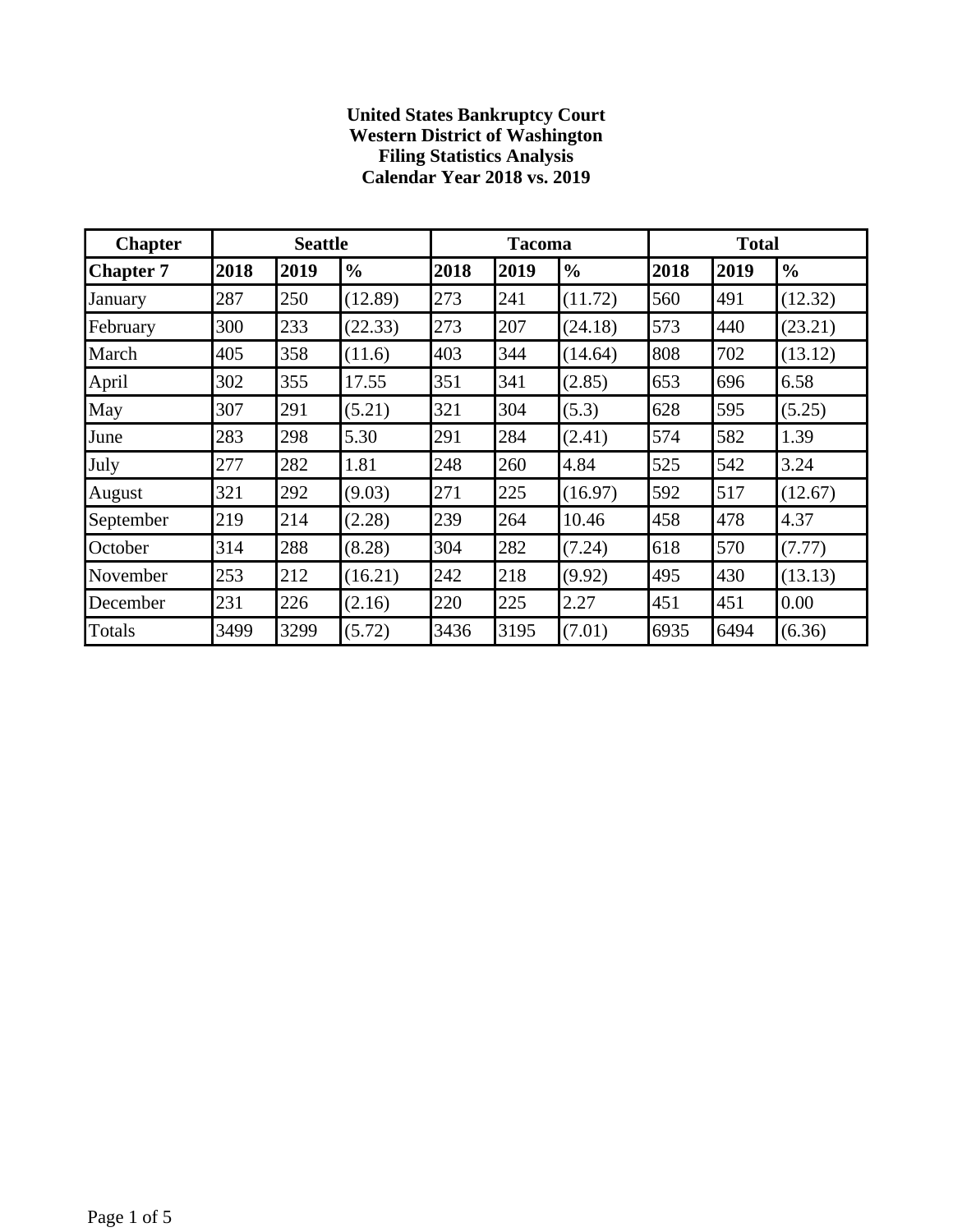## **United States Bankruptcy Court Western District of Washington Filing Statistics Analysis Calendar Year 2018 vs. 2019**

| <b>Chapter</b>   |      | <b>Seattle</b> |               |      | <b>Tacoma</b> |               |      | <b>Total</b> |               |  |  |
|------------------|------|----------------|---------------|------|---------------|---------------|------|--------------|---------------|--|--|
| <b>Chapter 7</b> | 2018 | 2019           | $\frac{0}{0}$ | 2018 | 2019          | $\frac{0}{0}$ | 2018 | 2019         | $\frac{0}{0}$ |  |  |
| January          | 287  | 250            | (12.89)       | 273  | 241           | (11.72)       | 560  | 491          | (12.32)       |  |  |
| February         | 300  | 233            | (22.33)       | 273  | 207           | (24.18)       | 573  | 440          | (23.21)       |  |  |
| March            | 405  | 358            | (11.6)        | 403  | 344           | (14.64)       | 808  | 702          | (13.12)       |  |  |
| April            | 302  | 355            | 17.55         | 351  | 341           | (2.85)        | 653  | 696          | 6.58          |  |  |
| May              | 307  | 291            | (5.21)        | 321  | 304           | (5.3)         | 628  | 595          | (5.25)        |  |  |
| June             | 283  | 298            | 5.30          | 291  | 284           | (2.41)        | 574  | 582          | 1.39          |  |  |
| July             | 277  | 282            | 1.81          | 248  | 260           | 4.84          | 525  | 542          | 3.24          |  |  |
| August           | 321  | 292            | (9.03)        | 271  | 225           | (16.97)       | 592  | 517          | (12.67)       |  |  |
| September        | 219  | 214            | (2.28)        | 239  | 264           | 10.46         | 458  | 478          | 4.37          |  |  |
| October          | 314  | 288            | (8.28)        | 304  | 282           | (7.24)        | 618  | 570          | (7.77)        |  |  |
| November         | 253  | 212            | (16.21)       | 242  | 218           | (9.92)        | 495  | 430          | (13.13)       |  |  |
| December         | 231  | 226            | (2.16)        | 220  | 225           | 2.27          | 451  | 451          | 0.00          |  |  |
| Totals           | 3499 | 3299           | (5.72)        | 3436 | 3195          | (7.01)        | 6935 | 6494         | (6.36)        |  |  |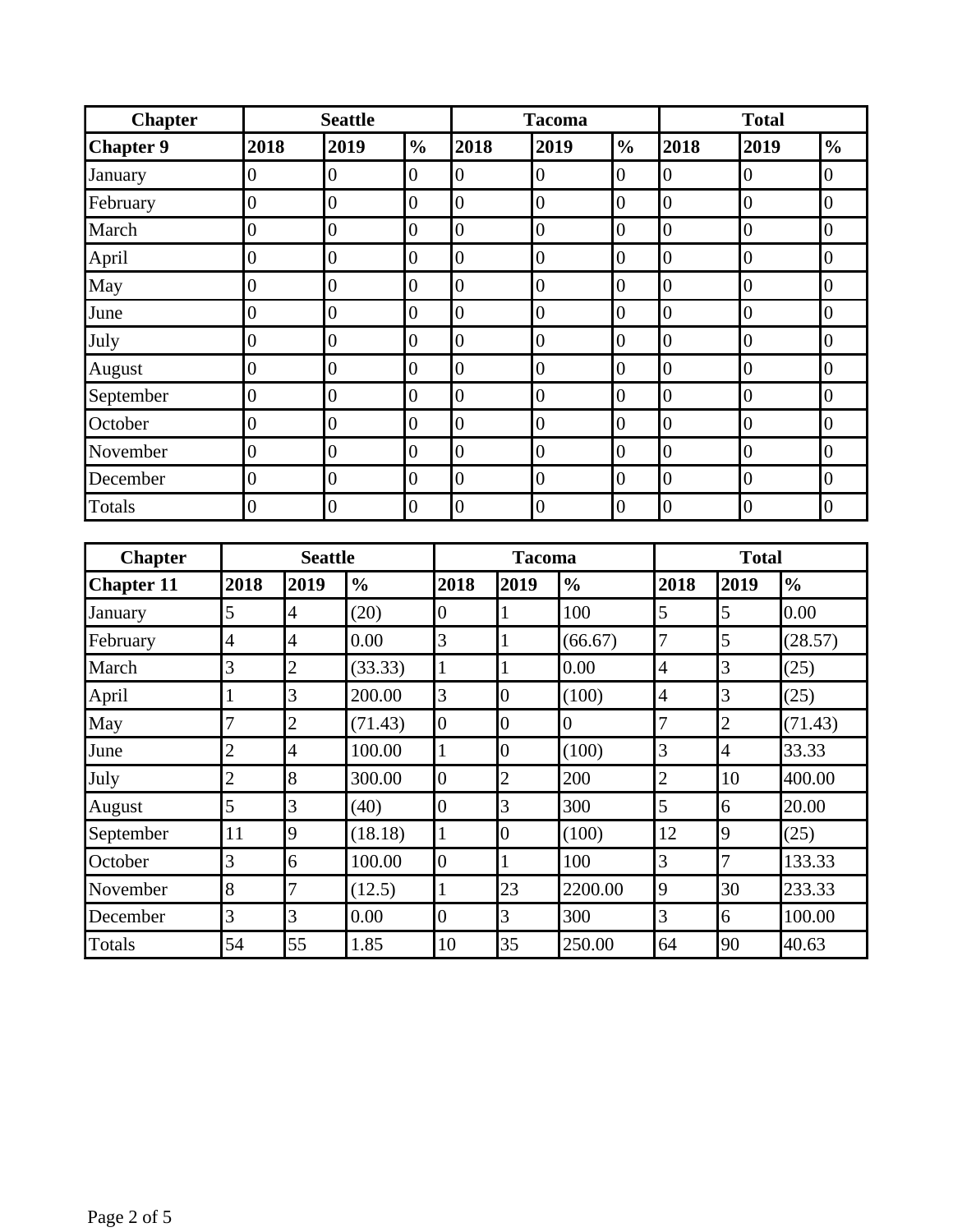| <b>Chapter</b>    | <b>Seattle</b> |                  |               |                  | <b>Tacoma</b>    |                  |                  |                |                  | <b>Total</b>     |                  |               |                  |  |
|-------------------|----------------|------------------|---------------|------------------|------------------|------------------|------------------|----------------|------------------|------------------|------------------|---------------|------------------|--|
| <b>Chapter 9</b>  | 2018           |                  | 2019          | $\frac{0}{0}$    | 2018             |                  | 2019             |                | $\frac{0}{0}$    | 2018             | 2019             |               | $\frac{0}{0}$    |  |
| January           | 0              | $\boldsymbol{0}$ |               | $\boldsymbol{0}$ | $\overline{0}$   |                  | $\boldsymbol{0}$ |                | $\boldsymbol{0}$ | $\boldsymbol{0}$ | $\boldsymbol{0}$ |               | $\overline{0}$   |  |
| February          | $\overline{0}$ | $\overline{0}$   |               | $\overline{0}$   | $\overline{0}$   |                  | $\overline{0}$   |                | $\boldsymbol{0}$ | $\overline{0}$   | $\overline{0}$   |               | $\overline{0}$   |  |
| March             | $\overline{0}$ | $\overline{0}$   |               | $\boldsymbol{0}$ | $\overline{0}$   |                  | $\boldsymbol{0}$ |                | $\boldsymbol{0}$ | $\overline{0}$   | $\overline{0}$   |               | $\overline{0}$   |  |
| April             | $\overline{0}$ | $\overline{0}$   |               | $\boldsymbol{0}$ | $\overline{0}$   |                  | $\overline{0}$   |                | $\boldsymbol{0}$ | $\overline{0}$   | $\overline{0}$   |               | $\boldsymbol{0}$ |  |
| May               | $\overline{0}$ | $\boldsymbol{0}$ |               | $\boldsymbol{0}$ | $\boldsymbol{0}$ |                  | $\overline{0}$   |                | $\boldsymbol{0}$ | $\boldsymbol{0}$ | $\boldsymbol{0}$ |               | $\boldsymbol{0}$ |  |
| June              | $\overline{0}$ | $\overline{0}$   |               | $\boldsymbol{0}$ | $\overline{0}$   |                  | $\overline{0}$   |                | $\overline{0}$   | $\overline{0}$   | $\overline{0}$   |               | $\overline{0}$   |  |
| July              | $\overline{0}$ | $\overline{0}$   |               | $\boldsymbol{0}$ | $\overline{0}$   |                  | $\overline{0}$   |                | $\boldsymbol{0}$ | $\overline{0}$   | $\overline{0}$   |               | $\boldsymbol{0}$ |  |
| August            | $\overline{0}$ | $\overline{0}$   |               | $\boldsymbol{0}$ | $\overline{0}$   |                  | $\overline{0}$   |                | $\overline{0}$   | $\overline{0}$   | $\boldsymbol{0}$ |               | $\overline{0}$   |  |
| September         | $\overline{0}$ | $\overline{0}$   |               | $\boldsymbol{0}$ | $\mathbf{0}$     |                  | $\overline{0}$   |                | $\boldsymbol{0}$ | $\boldsymbol{0}$ | $\boldsymbol{0}$ |               | $\overline{0}$   |  |
| October           | $\overline{0}$ | $\overline{0}$   |               | $\boldsymbol{0}$ | $\overline{0}$   |                  | $\overline{0}$   |                | $\boldsymbol{0}$ | $\overline{0}$   | $\overline{0}$   |               | $\overline{0}$   |  |
| November          | $\overline{0}$ | $\overline{0}$   |               | $\boldsymbol{0}$ | $\overline{0}$   |                  | $\overline{0}$   |                | $\boldsymbol{0}$ | $\overline{0}$   | $\boldsymbol{0}$ |               | $\overline{0}$   |  |
| December          | $\overline{0}$ | $\overline{0}$   |               | $\boldsymbol{0}$ | $\overline{0}$   |                  | $\overline{0}$   |                | $\overline{0}$   | $\overline{0}$   | $\boldsymbol{0}$ |               | $\boldsymbol{0}$ |  |
| Totals            | $\overline{0}$ | $\overline{0}$   |               | $\boldsymbol{0}$ | $\overline{0}$   |                  | $\overline{0}$   |                | $\boldsymbol{0}$ | $\boldsymbol{0}$ | $\boldsymbol{0}$ |               | $\overline{0}$   |  |
|                   |                |                  |               |                  |                  |                  |                  |                |                  |                  |                  |               |                  |  |
| <b>Chapter</b>    |                | <b>Seattle</b>   |               |                  |                  | <b>Tacoma</b>    |                  |                |                  |                  | <b>Total</b>     |               |                  |  |
| <b>Chapter 11</b> | 2018           | 2019             | $\frac{0}{0}$ |                  | 2018             | 2019             |                  | $\frac{0}{0}$  |                  | 2018             | 2019             | $\frac{0}{0}$ |                  |  |
| January           | 5              | $\overline{4}$   | (20)          |                  | $\boldsymbol{0}$ | $\mathbf{1}$     |                  | 100            |                  | 5                | 5                | 0.00          |                  |  |
| February          | $\overline{4}$ | $\overline{4}$   | 0.00          |                  | 3                | $\mathbf{1}$     |                  | (66.67)        |                  | 7                | 5                | (28.57)       |                  |  |
| March             | 3              | $\overline{2}$   | (33.33)       |                  | $\mathbf{1}$     | $\mathbf{1}$     |                  | 0.00           |                  | $\overline{4}$   | 3                | (25)          |                  |  |
| April             | $\mathbf{1}$   | $\overline{3}$   | 200.00        |                  | 3                | $\boldsymbol{0}$ |                  | (100)          |                  | $\overline{4}$   | 3                | (25)          |                  |  |
| May               | $\overline{7}$ | $\overline{2}$   | (71.43)       |                  | $\boldsymbol{0}$ | $\boldsymbol{0}$ |                  | $\overline{0}$ |                  | 7                | $\overline{c}$   | (71.43)       |                  |  |
| June              | $\overline{c}$ | $\overline{4}$   | 100.00        |                  | $\mathbf{1}$     | $\boldsymbol{0}$ |                  | (100)          |                  | 3                | $\overline{4}$   | 33.33         |                  |  |
| July              | $\overline{c}$ | 8                | 300.00        |                  | $\boldsymbol{0}$ | $\overline{c}$   |                  | 200            |                  | $\overline{c}$   | 10               | 400.00        |                  |  |
| August            | 5              | $\overline{3}$   | (40)          |                  | $\overline{0}$   | 3                |                  | 300            |                  | 5                | $\overline{6}$   | 20.00         |                  |  |
| September         | 11             | 9                | (18.18)       |                  | $\mathbf{1}$     | $\boldsymbol{0}$ |                  | (100)          |                  | 12               | 9                | (25)          |                  |  |
| October           | 3              | 6                | 100.00        |                  | $\boldsymbol{0}$ | $\mathbf{1}$     |                  | 100            |                  | 3                | $\overline{7}$   | 133.33        |                  |  |
| November          | 8              | $\overline{7}$   | (12.5)        |                  | $\mathbf{1}$     | 23               |                  | 2200.00        |                  | 9                | 30               | 233.33        |                  |  |
| December          | 3              | 3                | 0.00          |                  | $\boldsymbol{0}$ | 3                |                  | 300            |                  | $\overline{3}$   | 6                | 100.00        |                  |  |
| Totals            | 54             | 55               | 1.85          |                  | 10               | 35               |                  | 250.00         |                  | 64               | 90               | 40.63         |                  |  |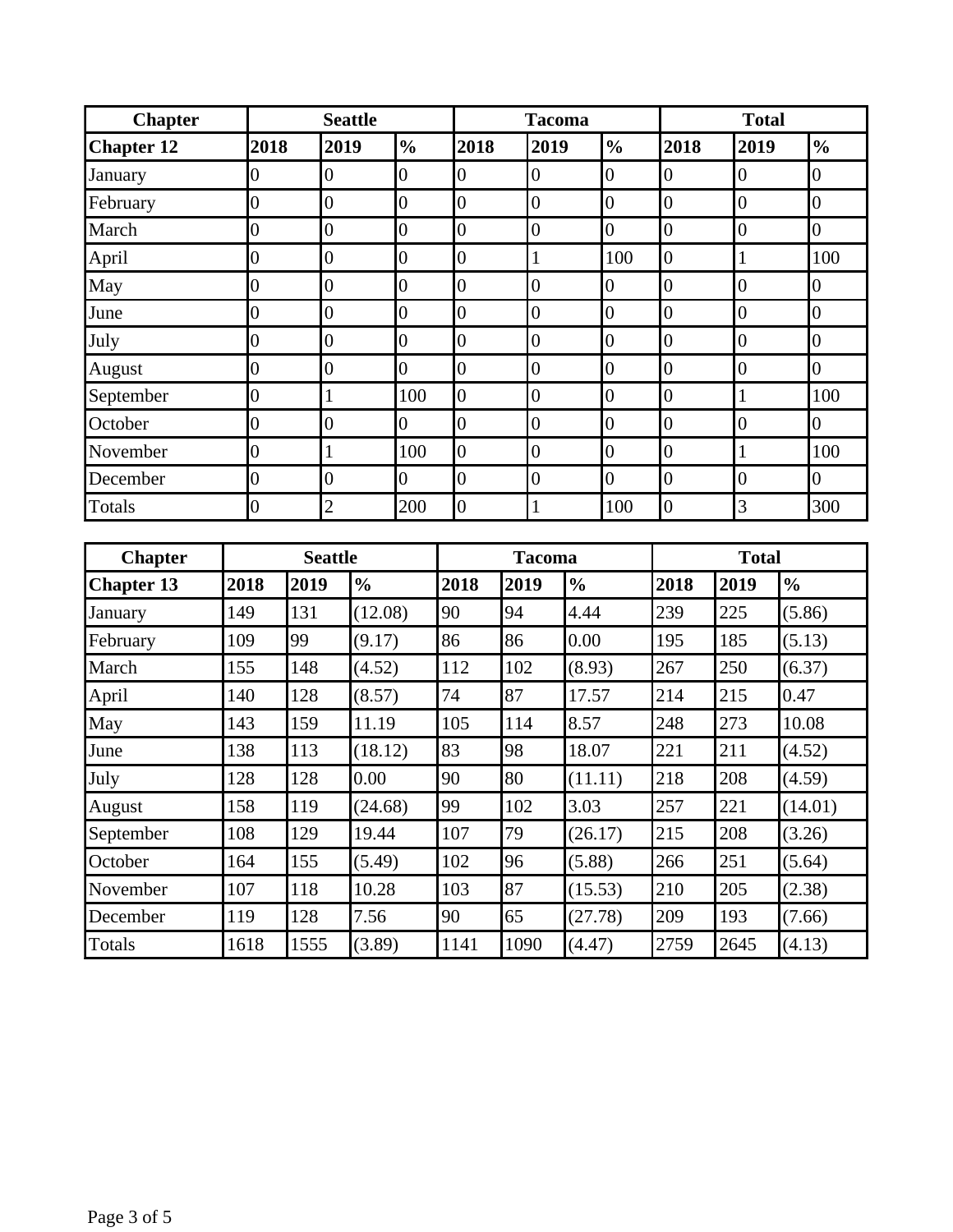| <b>Chapter</b>    |                  | <b>Seattle</b> |                |               |                  |      | <b>Tacoma</b>    |      |                |               |                  | <b>Total</b>   |     |                  |               |                  |
|-------------------|------------------|----------------|----------------|---------------|------------------|------|------------------|------|----------------|---------------|------------------|----------------|-----|------------------|---------------|------------------|
| <b>Chapter 12</b> | 2018             |                | 2019           |               | $\frac{0}{0}$    |      | 2018             |      | 2019           |               | $\frac{0}{0}$    | 2018           |     | 2019             |               | $\frac{0}{0}$    |
| January           | 0                |                | $\overline{0}$ |               | $\overline{0}$   |      | $\overline{0}$   |      | $\overline{0}$ |               | $\overline{0}$   | $\overline{0}$ |     | $\overline{0}$   |               | $\overline{0}$   |
| February          | $\boldsymbol{0}$ |                | $\overline{0}$ |               | $\boldsymbol{0}$ |      | $\boldsymbol{0}$ |      | $\overline{0}$ |               | $\boldsymbol{0}$ | $\overline{0}$ |     | $\overline{0}$   |               | $\boldsymbol{0}$ |
| March             | $\overline{0}$   |                | $\overline{0}$ |               | $\overline{0}$   |      | $\boldsymbol{0}$ |      | $\overline{0}$ |               | $\overline{0}$   | $\overline{0}$ |     | $\boldsymbol{0}$ |               | $\overline{0}$   |
| April             | $\overline{0}$   |                | $\overline{0}$ |               | $\overline{0}$   |      | $\boldsymbol{0}$ |      | $\mathbf{1}$   |               | 100              | $\overline{0}$ |     | $\mathbf{1}$     |               | 100              |
| May               | $\overline{0}$   |                | $\overline{0}$ |               | $\overline{0}$   |      | $\boldsymbol{0}$ |      | $\overline{0}$ |               | $\boldsymbol{0}$ | $\overline{0}$ |     | $\overline{0}$   |               | $\overline{0}$   |
| June              | $\overline{0}$   |                | $\overline{0}$ |               | $\overline{0}$   |      | $\overline{0}$   |      | $\overline{0}$ |               | $\boldsymbol{0}$ | $\overline{0}$ |     | $\overline{0}$   |               | $\overline{0}$   |
| July              | $\overline{0}$   |                | $\overline{0}$ |               | $\overline{0}$   |      | $\boldsymbol{0}$ |      | $\overline{0}$ |               | $\boldsymbol{0}$ | $\overline{0}$ |     | $\overline{0}$   |               | $\overline{0}$   |
| August            | $\overline{0}$   |                | $\overline{0}$ |               | $\overline{0}$   |      | $\overline{0}$   |      | $\overline{0}$ |               | $\overline{0}$   | $\overline{0}$ |     | $\overline{0}$   |               | $\overline{0}$   |
| September         | $\overline{0}$   |                | $\mathbf{1}$   |               | 100              |      | $\boldsymbol{0}$ |      | $\overline{0}$ |               | $\boldsymbol{0}$ | $\overline{0}$ |     | $\mathbf{1}$     |               | 100              |
| October           | $\overline{0}$   |                | $\overline{0}$ |               | $\overline{0}$   |      | $\overline{0}$   |      | $\overline{0}$ |               | $\boldsymbol{0}$ | $\overline{0}$ |     | $\overline{0}$   |               | $\overline{0}$   |
| November          | $\overline{0}$   |                | $\mathbf{1}$   |               | 100              |      | $\overline{0}$   |      | $\overline{0}$ |               | $\boldsymbol{0}$ | $\overline{0}$ |     | $\mathbf{1}$     |               | 100              |
| December          | $\overline{0}$   |                | $\overline{0}$ |               | $\overline{0}$   |      | $\overline{0}$   |      | $\overline{0}$ |               | $\overline{0}$   | $\overline{0}$ |     | $\overline{0}$   |               | $\overline{0}$   |
| <b>Totals</b>     | $\overline{0}$   |                | $\overline{2}$ |               | 200              |      | $\overline{0}$   |      | 1              |               | 100              | $\overline{0}$ |     | 3                |               | 300              |
|                   |                  |                |                |               |                  |      |                  |      |                |               |                  |                |     |                  |               |                  |
| <b>Chapter</b>    |                  |                | <b>Seattle</b> |               |                  |      | <b>Tacoma</b>    |      |                |               |                  | <b>Total</b>   |     |                  |               |                  |
| <b>Chapter 13</b> | 2018             | 2019           |                | $\frac{0}{0}$ |                  | 2018 |                  | 2019 |                | $\frac{0}{0}$ |                  | 2018           |     | 2019             | $\frac{0}{0}$ |                  |
| January           | 149              | 131            |                | (12.08)       |                  | 90   |                  | 94   |                | 4.44          |                  | 239            |     | 225              | (5.86)        |                  |
| February          | 109              | 99             |                | (9.17)        |                  | 86   |                  | 86   |                | 0.00          |                  | 195            |     | 185              | (5.13)        |                  |
| March             | 155              | 148            |                | (4.52)        |                  | 112  |                  | 102  |                | (8.93)        |                  | 267            |     | 250              | (6.37)        |                  |
| April             | 140              | 128            |                | (8.57)        |                  | 74   |                  | 87   |                | 17.57         |                  | 214            |     | 215              | 0.47          |                  |
| May               | 143              | 159            |                | 11.19         |                  | 105  |                  | 114  |                | 8.57          |                  | 248            |     | 273              | 10.08         |                  |
| June              | 138              | 113            |                | (18.12)       |                  | 83   |                  | 98   |                | 18.07         |                  | 221            | 211 |                  | (4.52)        |                  |
| July              | 128              | 128            |                | 0.00          |                  | 90   |                  | 80   |                | (11.11)       |                  | 218            |     | 208              | (4.59)        |                  |
| August            | 158              | 119            |                | (24.68)       |                  | 99   |                  | 102  |                | 3.03          |                  | 257            |     | 221              |               | (14.01)          |
| September         | 108              | 129            |                | 19.44         |                  | 107  |                  | 79   |                | (26.17)       |                  | 215            |     | 208              | (3.26)        |                  |
| October           | 164              | 155            |                | (5.49)        |                  | 102  |                  | 96   |                | (5.88)        |                  | 266            |     | 251              | (5.64)        |                  |
| November          | 107              | 118            |                | 10.28         |                  | 103  |                  | 87   |                | (15.53)       |                  | 210            |     | 205              | (2.38)        |                  |
| December          | 119              | 128            |                | 7.56          |                  | 90   |                  | 65   |                | (27.78)       |                  | 209            |     | 193              | (7.66)        |                  |
| Totals            | 1618             | 1555           |                | (3.89)        |                  | 1141 |                  | 1090 |                | (4.47)        |                  | 2759           |     | 2645             | (4.13)        |                  |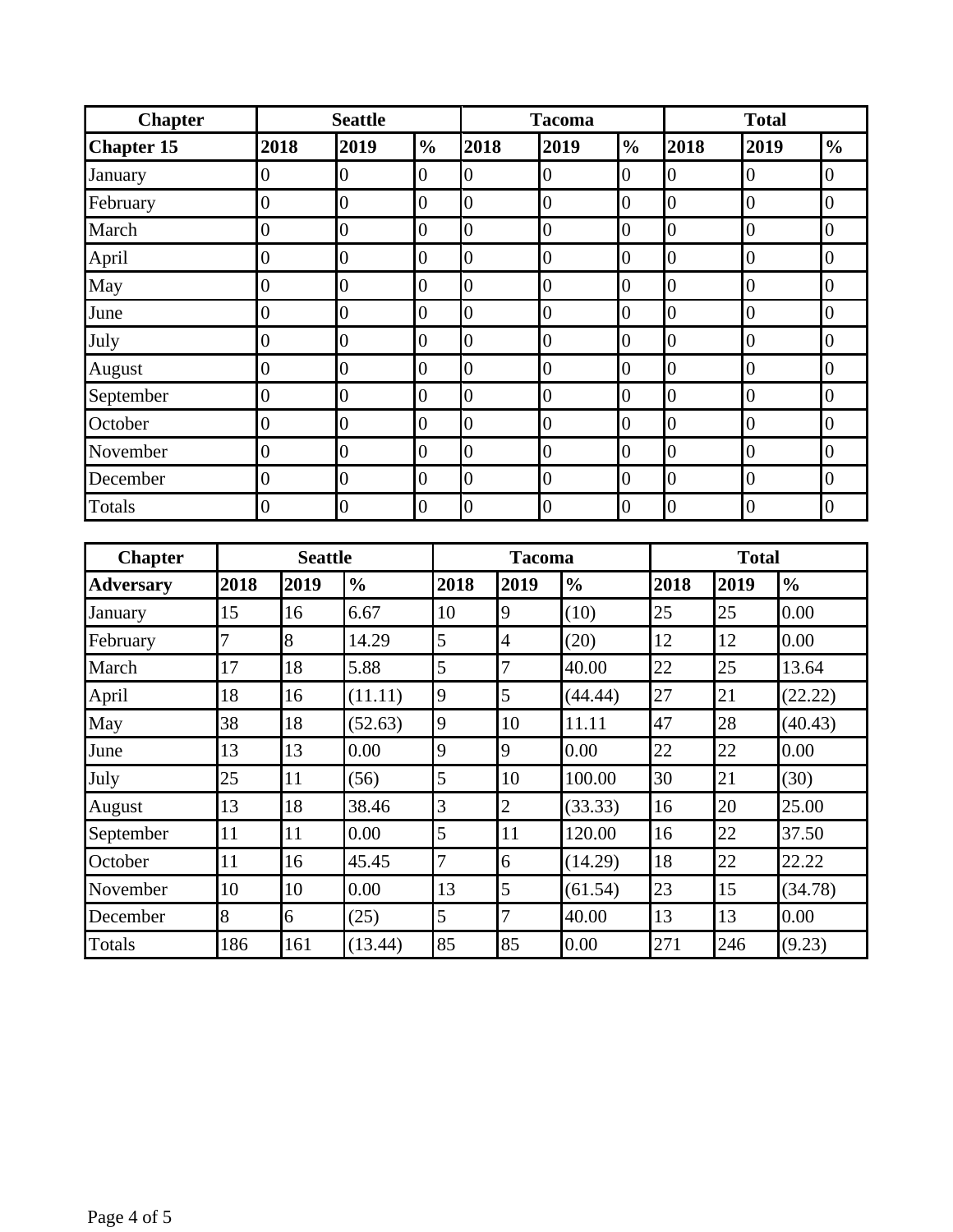| <b>Chapter</b>    |                  | <b>Seattle</b> |                |                  | <b>Tacoma</b>    |                | <b>Total</b>     |                  |                  |
|-------------------|------------------|----------------|----------------|------------------|------------------|----------------|------------------|------------------|------------------|
| <b>Chapter 15</b> | 2018             | 2019           | $\frac{6}{6}$  | 2018             | 2019             | $\frac{0}{0}$  | 2018             | 2019             | $\frac{0}{0}$    |
| January           | $\overline{0}$   | $\overline{0}$ | $\overline{0}$ | $\overline{0}$   | $\overline{0}$   | $\overline{0}$ | $\boldsymbol{0}$ | $\overline{0}$   | $\overline{0}$   |
| February          | $\boldsymbol{0}$ | $\overline{0}$ | $\overline{0}$ | $\overline{0}$   | $\overline{0}$   | $\overline{0}$ | $\overline{0}$   | $\overline{0}$   | $\overline{0}$   |
| March             | $\overline{0}$   | $\overline{0}$ | $\overline{0}$ | $\boldsymbol{0}$ | $\overline{0}$   | $\overline{0}$ | $\overline{0}$   | $\overline{0}$   | $\overline{0}$   |
| April             | $\overline{0}$   | $\overline{0}$ | $\overline{0}$ | $\boldsymbol{0}$ | $\boldsymbol{0}$ | 0              | 0                | $\boldsymbol{0}$ | $\boldsymbol{0}$ |
| May               | $\overline{0}$   | $\overline{0}$ | $\overline{0}$ | $\overline{0}$   | $\overline{0}$   | $\overline{0}$ | $\overline{0}$   | $\overline{0}$   | $\overline{0}$   |
| June              | $\overline{0}$   | $\overline{0}$ | $\overline{0}$ | $\overline{0}$   | $\overline{0}$   | $\overline{0}$ | 0                | $\overline{0}$   | $\overline{0}$   |
| July              | $\overline{0}$   | $\overline{0}$ | $\overline{0}$ | $\overline{0}$   | $\overline{0}$   | $\overline{0}$ | $\overline{0}$   | $\overline{0}$   | $\overline{0}$   |
| August            | $\overline{0}$   | $\overline{0}$ | $\overline{0}$ | $\overline{0}$   | 0                | $\overline{0}$ | $\overline{0}$   | $\overline{0}$   | 0                |
| September         | $\overline{0}$   | $\overline{0}$ | $\overline{0}$ | $\overline{0}$   | $\overline{0}$   | $\overline{0}$ | $\overline{0}$   | $\overline{0}$   | $\overline{0}$   |
| October           | $\overline{0}$   | $\overline{0}$ | $\overline{0}$ | $\overline{0}$   | $\boldsymbol{0}$ | $\overline{0}$ | $\overline{0}$   | $\overline{0}$   | $\overline{0}$   |
| November          | $\overline{0}$   | $\overline{0}$ | $\overline{0}$ | $\overline{0}$   | $\overline{0}$   | $\overline{0}$ | $\overline{0}$   | $\overline{0}$   | $\overline{0}$   |
| December          | $\overline{0}$   | $\overline{0}$ | $\overline{0}$ | $\overline{0}$   | $\overline{0}$   | $\overline{0}$ | 0                | $\overline{0}$   | $\overline{0}$   |
| Totals            | 0                | $\overline{0}$ | $\overline{0}$ | $\overline{0}$   | $\overline{0}$   | $\overline{0}$ | 0                | $\overline{0}$   | $\overline{0}$   |

| <b>Chapter</b>   | <b>Seattle</b> |      |               |      | <b>Tacoma</b>  |               | <b>Total</b> |      |               |  |
|------------------|----------------|------|---------------|------|----------------|---------------|--------------|------|---------------|--|
| <b>Adversary</b> | 2018           | 2019 | $\frac{0}{0}$ | 2018 | 2019           | $\frac{0}{0}$ | 2018         | 2019 | $\frac{6}{6}$ |  |
| January          | 15             | 16   | 6.67          | 10   | 9              | (10)          | 25           | 25   | 0.00          |  |
| February         | 7              | 8    | 14.29         | 5    | 4              | (20)          | 12           | 12   | 0.00          |  |
| March            | 17             | 18   | 5.88          | 5    | 7              | 40.00         | 22           | 25   | 13.64         |  |
| April            | 18             | 16   | (11.11)       | 9    | 5              | (44.44)       | 27           | 21   | (22.22)       |  |
| May              | 38             | 18   | (52.63)       | 9    | 10             | 11.11         | 47           | 28   | (40.43)       |  |
| June             | 13             | 13   | 0.00          | 9    | 9              | 0.00          | 22           | 22   | 0.00          |  |
| July             | 25             | 11   | (56)          | 5    | 10             | 100.00        | 30           | 21   | (30)          |  |
| August           | 13             | 18   | 38.46         | 3    | $\overline{2}$ | (33.33)       | 16           | 20   | 25.00         |  |
| September        | 11             | 11   | 0.00          | 5    | 11             | 120.00        | 16           | 22   | 37.50         |  |
| October          | 11             | 16   | 45.45         | 7    | 6              | (14.29)       | 18           | 22   | 22.22         |  |
| November         | 10             | 10   | 0.00          | 13   | 5              | (61.54)       | 23           | 15   | (34.78)       |  |
| December         | 8              | 6    | (25)          | 5    | 7              | 40.00         | 13           | 13   | 0.00          |  |
| Totals           | 186            | 161  | (13.44)       | 85   | 85             | 0.00          | 271          | 246  | (9.23)        |  |